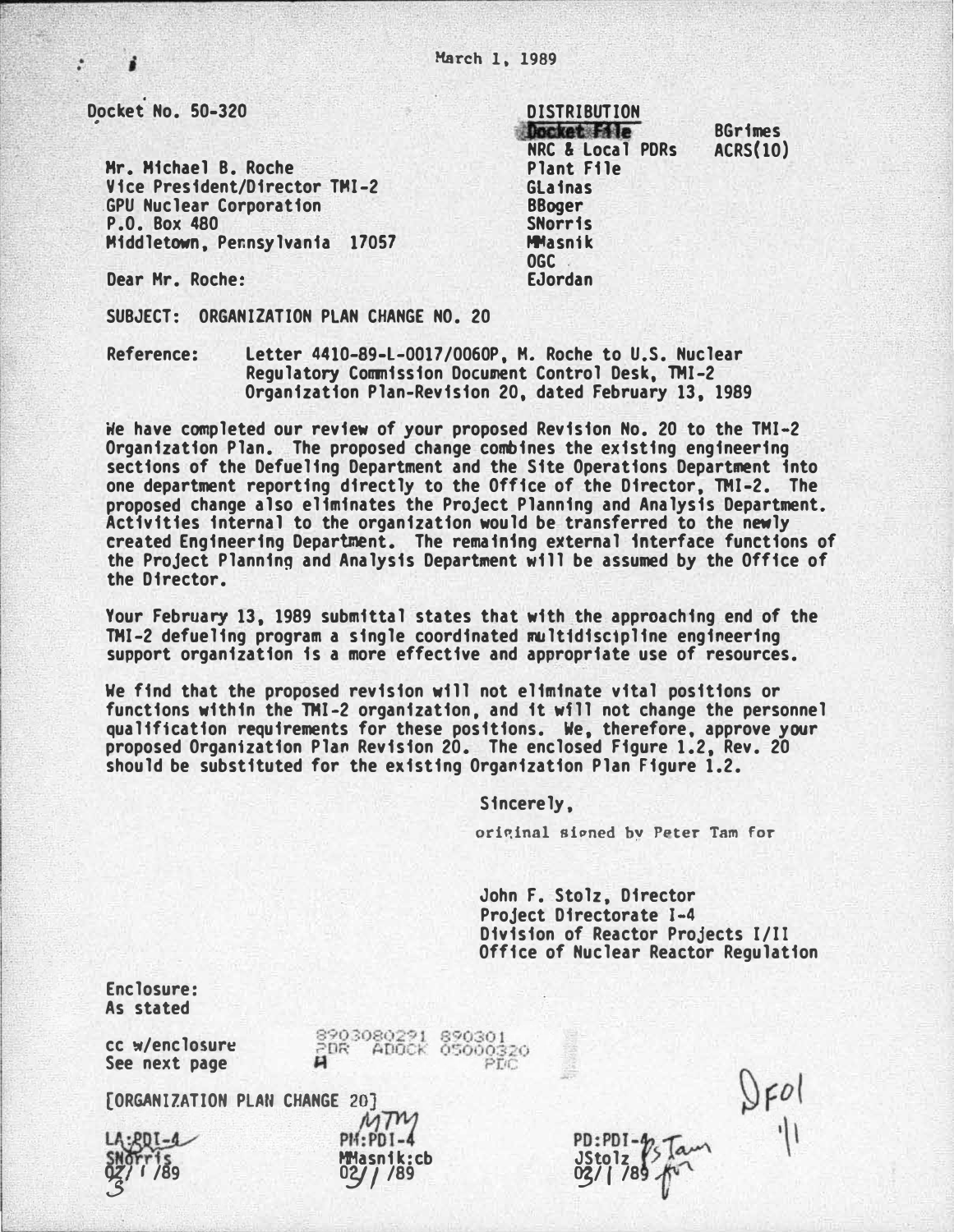$\cdot$ 

Mr. Michael B. Roche Vice President/Director TMI-2 .GPU Nuclear Corporation P.O. Box 480 Middletown, Pennsylvania 17057

DISTRIBUTION **DISTRIBUTION** Docket File NRC & Local PDRs Plant File Glainas BBoger SNorris **MMasnik** OGC . EJordan BGrimes ACRS(lO)

Dear Hr. Roche:

SUBJECT: ORGANIZATION PLAN CHANGE NO. 20

Reference: Letter 4410-89-L-0017/0060P, H. Roche to U.S. Nuclear Regulatory Commission Document Control Desk, TMI-2 Organization Plan-Revision 20, dated February 13, 1989

We have completed our review of your proposed Revision No. 20 to the THI-2 Organization Plan. The proposed change combines the existing engineering sections of the Defueling Department and the Site Operations Department into one department reporting directly to the Office of the Director, THI-2. The proposed change also eliminates the Project Planning and Analysis Department. Activities internal to the organization would be transferred to the newly created Engineering Department. The remaining external interface functions of the Project Planning and Analysis Depart�ent will be assumed by the Office of the Director.

Your February 13, 1989 submittal states that with the approaching end of the TMI-2 defueling program a single coordinated mult1disc1pline engineering support organization is a more effective and appropriate use of resources.

We find that the proposed revision will not eliminate vital positions or functions within the THI-2 organization, and it wfll not change the personnel qualification requirements for these positions. We, therefore, approve your proposed Organization Plan Revision 20. The enclosed Figure 1.2, Rev. 20 should be substituted for the existing Organization Plan Figure 1.2.

Sincerely,

original signed by Peter Tam for

John F. Stolz, Director Project Directorate J-4 Division of Reactor Projects 1/II Office of Nuclear Reactor Regulation

 $|FO|$ 

Enclosure: As stated

8903080291 890301<br>2DR ADOCK 050003 cc w/enclosure See next page [ORGANIZATION PLAN CHANGE 20]  $L_A:BDI-4$  PM:PDI-4 PD:PDJ- � SHOTTIS MMasnik:cb<br>02/1/89 02/1/89 JStolz �  $03/1/89$  1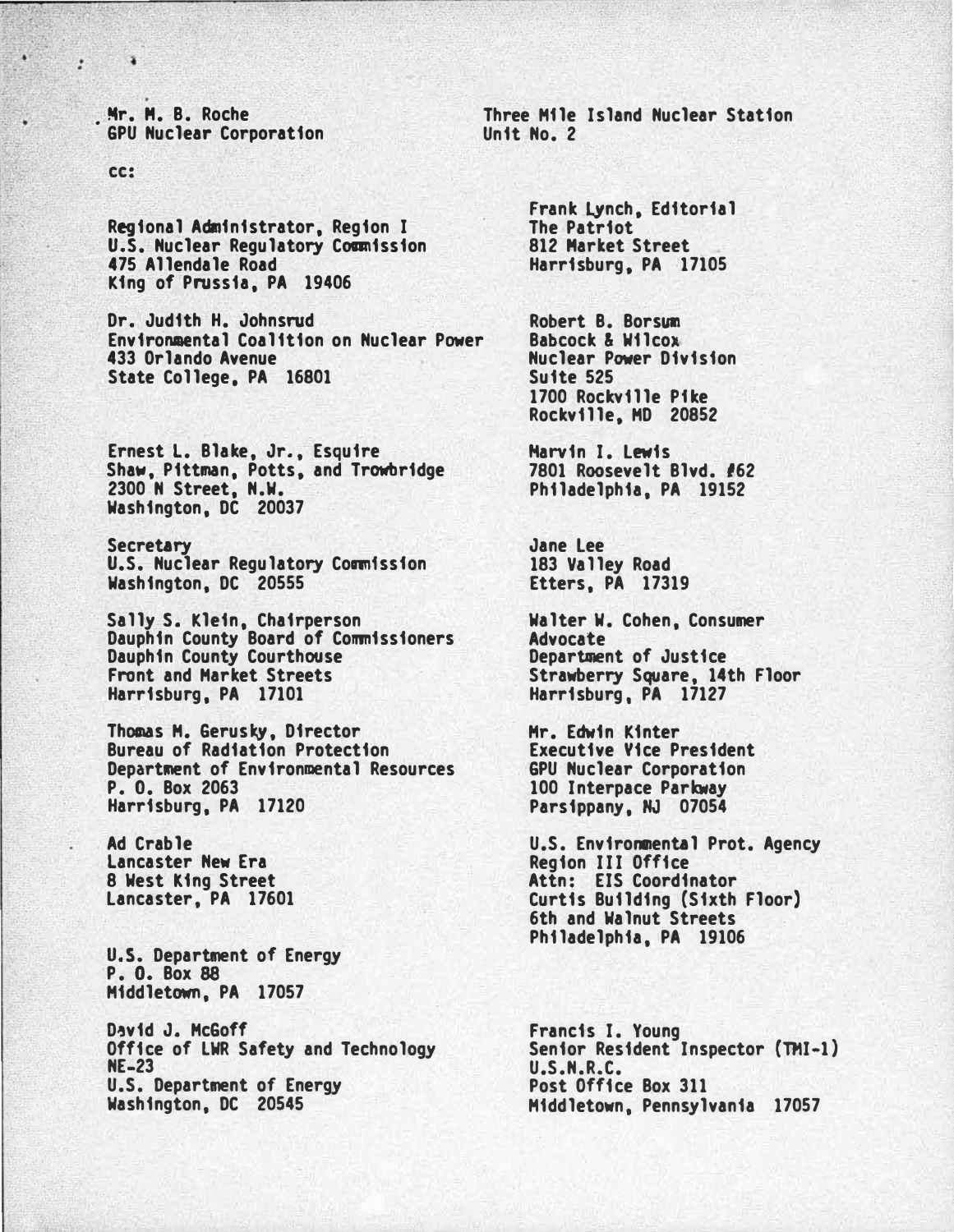. Mr. M. B. Roche • GPU Nuclear Corporation

cc:

 $\sqrt{2}$  $\cdot$ 

> Regional Adnfnistrator, Region I u.s. Nuclear Regulatory Commission 475 Allendale Road Kfng of Prussia, PA 19406

Dr. Judith H. Johnsrud Environmental Coalition on Nuclear Power 433 Orlando Avenue State College, PA 16801

Ernest L. Blake, Jr., Esquire Shaw, Pittman, Potts, and Trowbridge 2300 N Street, N.W. Washington, DC 20037

Secretary U.S. Nuclear Regulatory Commission Washington, DC 20555

Sally s. Klein, Chairperson Dauphin County Board of Commissioners Dauphin County Courthouse Front and Market Streets Harrisburg, PA 17101

Thomas M. Gerus�, Director Bureau of Radiation Protection Department of Environmental Resources P. 0. Box 2063 Harrisburg, PA 17120

Ad Crable Lancaster New Era 8 West king Street Lancaster, PA 17601

U.S. Department of Energy P. 0. Box 88 Middletown, PA 17057

David J. McGoff Office of LWR Safety and Technology NE-23 U.S. Department of Energy Washington, DC 20545

Three Mfle Island Nuclear Station Unit No. 2

> Frank LYnch, Editorial The Patriot 812 Market Street Harrisburg, PA 17105

Robert B. Borsum Babcock & Wilcox Nuclear Power Division 1700 Rockville Pfke Rockville, MD 20852

Harvin I. Lewis 7801 Roosevelt Blvd. #62 Philadelphia, PA 19152

Jane Lee 183 Valley Road Etters, PA 17319

Walter W. Cohen, Consumer Advocate Department of Justice Strawberry Square, 14th Floor Harrisburg, PA 17127

Mr. Edwin Kinter Executive Vice President GPU Nuclear Corporation 100 Interpace Parkway Parsippany, NJ 07054

U.S. Environmental Prot. Agency Region III Office Attn: EIS Coordinator Curtis Building (Sixth Floor) 6th and Walnut Streets Philadelphia, PA 19106

Francis I. Young Senior Resident Inspector (TMI-1) U.S.N.R.C. Post Office Box 311 Middletown, Pennsylvania 17057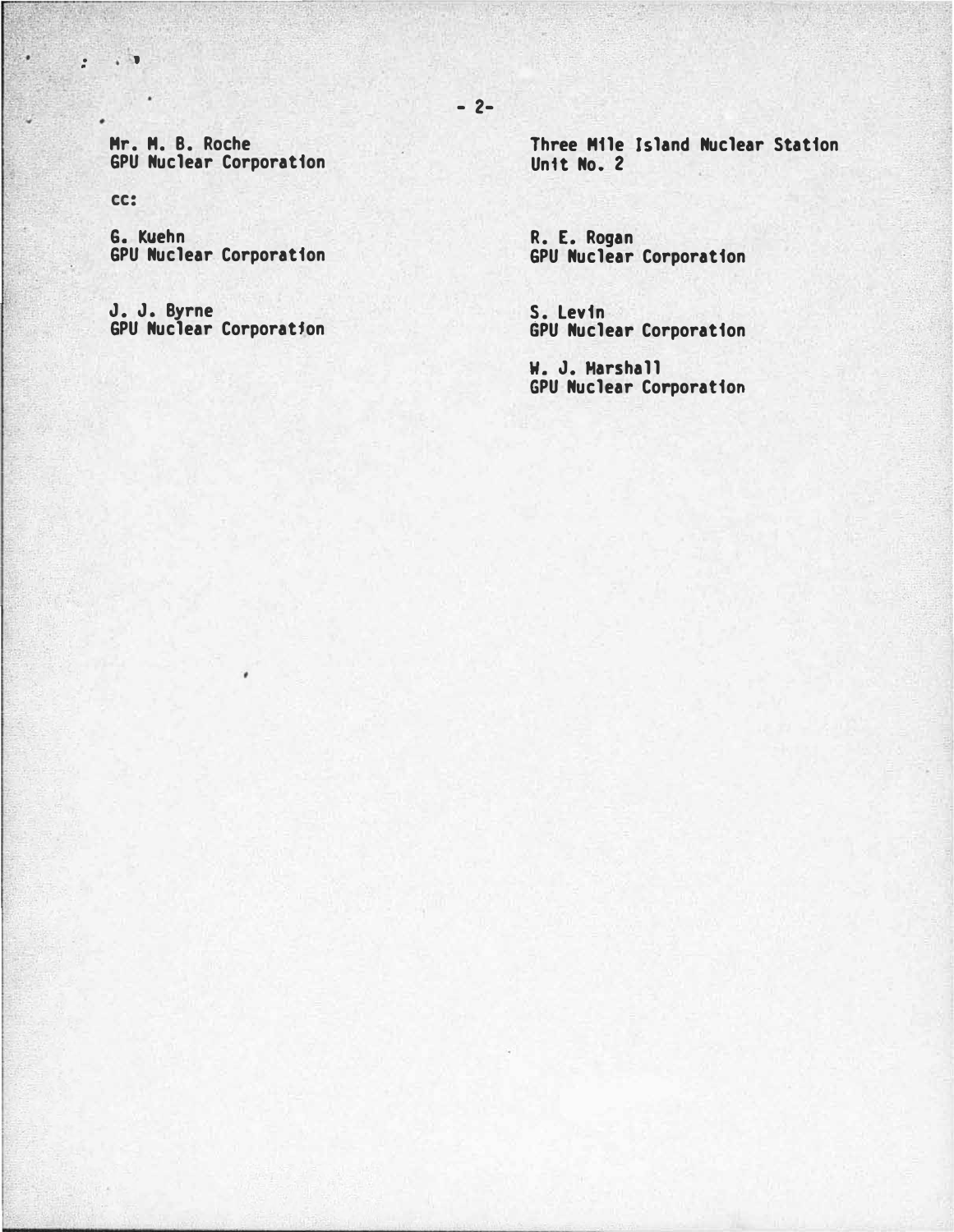Mr. M. B. Roche GPU Nuclear Corporation

cc:

 $\cdot$  :  $\cdot$ 

٠

÷.

G. Kuehn GPU Nuclear Corporation

J. J. Byrne GPU Nuclear Corporatfon

٠

Three Mile Island Nuclear Station Unit No. 2

R. E. Rogan GPU Nuclear Corporation

S. Levin GPU Nuclear Corporation

W. J. Marshall GPU Nuclear Corporation